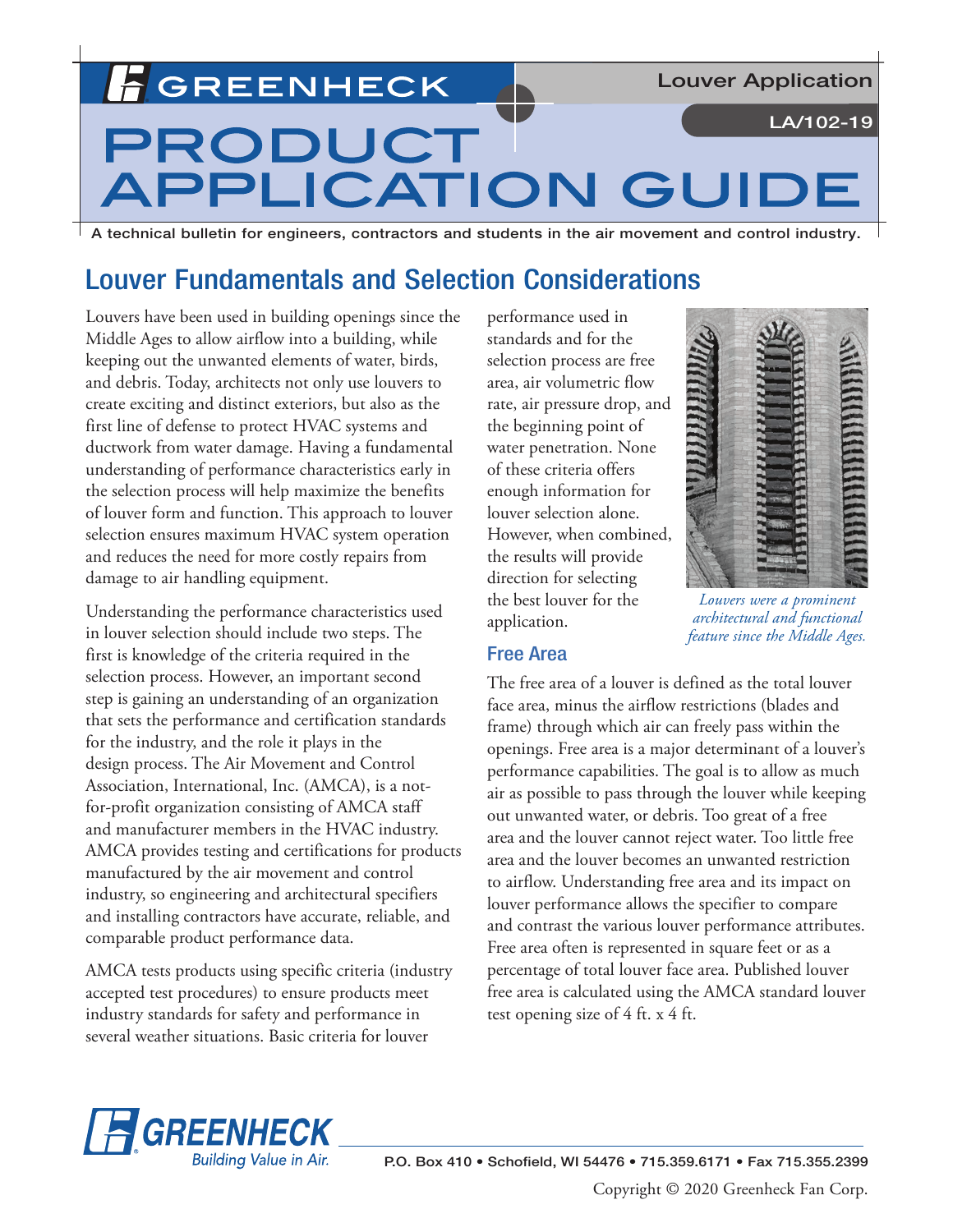**GREENHECK** 

**Louver Application** 

LA/102-19

# $\bigcup$ TON GU **TAT**

A technical bulletin for engineers, contractors and students in the air movement and control industry.

# Louver Fundamentals and Selection Considerations

Louvers have been used in building openings since the Middle Ages to allow airflow into a building, while keeping out the unwanted elements of water, birds, and debris. Today, architects not only use louvers to create exciting and distinct exteriors, but also as the first line of defense to protect HVAC systems and ductwork from water damage. Having a fundamental understanding of performance characteristics early in the selection process will help maximize the benefits of louver form and function. This approach to louver selection ensures maximum HVAC system operation and reduces the need for more costly repairs from damage to air handling equipment.

Understanding the performance characteristics used in louver selection should include two steps. The first is knowledge of the criteria required in the selection process. However, an important second step is gaining an understanding of an organization that sets the performance and certification standards for the industry, and the role it plays in the design process. The Air Movement and Control Association, International, Inc. (AMCA), is a notfor-profit organization consisting of AMCA staff and manufacturer members in the HVAC industry. AMCA provides testing and certifications for products manufactured by the air movement and control industry, so engineering and architectural specifiers and installing contractors have accurate, reliable, and comparable product performance data.

AMCA tests products using specific criteria (industry accepted test procedures) to ensure products meet industry standards for safety and performance in several weather situations. Basic criteria for louver

performance used in standards and for the selection process are free area, air volumetric flow rate, air pressure drop, and the beginning point of water penetration. None of these criteria offers enough information for louver selection alone. However, when combined, the results will provide direction for selecting the best louver for the application.



*Louvers were a prominent architectural and functional feature since the Middle Ages.*

# Free Area

The free area of a louver is defined as the total louver face area, minus the airflow restrictions (blades and frame) through which air can freely pass within the openings. Free area is a major determinant of a louver's performance capabilities. The goal is to allow as much air as possible to pass through the louver while keeping out unwanted water, or debris. Too great of a free area and the louver cannot reject water. Too little free area and the louver becomes an unwanted restriction to airflow. Understanding free area and its impact on louver performance allows the specifier to compare and contrast the various louver performance attributes. Free area often is represented in square feet or as a percentage of total louver face area. Published louver free area is calculated using the AMCA standard louver test opening size of 4 ft. x 4 ft.

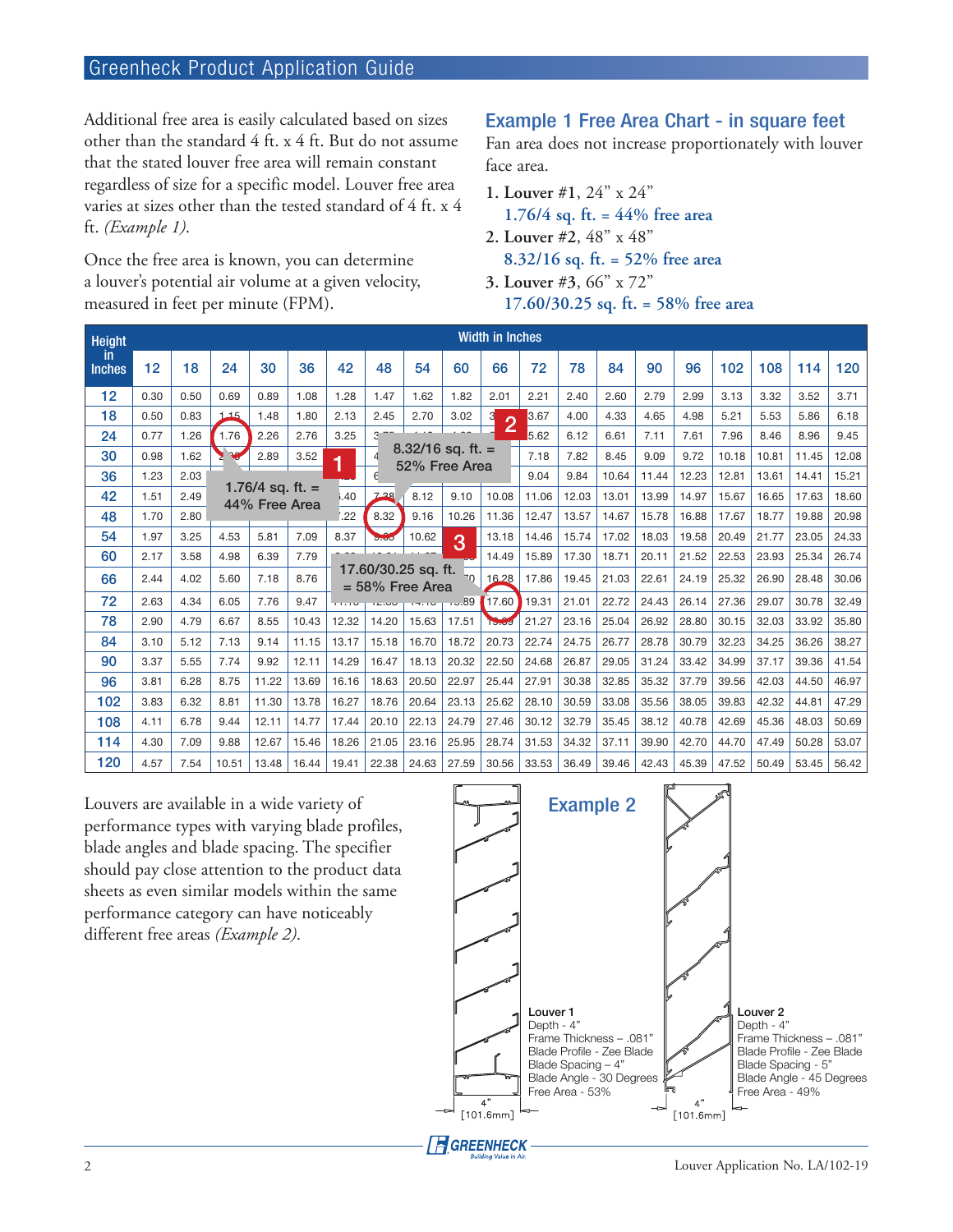# Greenheck Product Application Guide

Additional free area is easily calculated based on sizes other than the standard 4 ft. x 4 ft. But do not assume that the stated louver free area will remain constant regardless of size for a specific model. Louver free area varies at sizes other than the tested standard of 4 ft. x 4 ft. *(Example 1)*.

Once the free area is known, you can determine a louver's potential air volume at a given velocity, measured in feet per minute (FPM).

# Example 1 Free Area Chart - in square feet

Fan area does not increase proportionately with louver face area.

- **1. Louver #1**, 24" x 24"
- **1.76/4 sq. ft. = 44% free area**
- **2. Louver #2**, 48" x 48"
	- **8.32/16 sq. ft. = 52% free area**
- **3. Louver #3**, 66" x 72" **17.60/30.25 sq. ft. = 58% free area**

| <b>Height</b>        |      |      |              |       |                                     |                                           |       | <b>Width in Inches</b>               |                 |                     |       |       |       |       |       |       |       |       |       |
|----------------------|------|------|--------------|-------|-------------------------------------|-------------------------------------------|-------|--------------------------------------|-----------------|---------------------|-------|-------|-------|-------|-------|-------|-------|-------|-------|
| -in<br><b>Inches</b> | 12   | 18   | 24           | 30    | 36                                  | 42                                        | 48    | 54                                   | 60              | 66                  | 72    | 78    | 84    | 90    | 96    | 102   | 108   | 114   | 120   |
| 12 <sub>2</sub>      | 0.30 | 0.50 | 0.69         | 0.89  | 1.08                                | 1.28                                      | 1.47  | 1.62                                 | 1.82            | 2.01                | 2.21  | 2.40  | 2.60  | 2.79  | 2.99  | 3.13  | 3.32  | 3.52  | 3.71  |
| 18                   | 0.50 | 0.83 | 115          | 1.48  | 1.80                                | 2.13                                      | 2.45  | 2.70                                 | 3.02            | 3<br>$\overline{2}$ | 3.67  | 4.00  | 4.33  | 4.65  | 4.98  | 5.21  | 5.53  | 5.86  | 6.18  |
| 24                   | 0.77 | 1.26 | 1.76<br>2.26 |       | 2.76                                | 3.25                                      | 3     |                                      |                 |                     | 5.62  | 6.12  | 6.61  | 7.11  | 7.61  | 7.96  | 8.46  | 8.96  | 9.45  |
| 30                   | 0.98 | 1.62 |              | 2.89  | 3.52                                | 1                                         |       | $8.32/16$ sq. ft. =<br>52% Free Area |                 |                     | 7.18  | 7.82  | 8.45  | 9.09  | 9.72  | 10.18 | 10.81 | 11.45 | 12.08 |
| 36                   | 1.23 | 2.03 |              |       | 1.76/4 sq. ft. $=$<br>44% Free Area |                                           |       |                                      |                 |                     | 9.04  | 9.84  | 10.64 | 11.44 | 12.23 | 12.81 | 13.61 | 14.41 | 15.21 |
| 42                   | 1.51 | 2.49 |              |       |                                     | 3.40                                      | 7.28  | 8.12                                 | 9.10            | 10.08               | 11.06 | 12.03 | 13.01 | 13.99 | 14.97 | 15.67 | 16.65 | 17.63 | 18.60 |
| 48                   | 1.70 | 2.80 |              |       |                                     | 22                                        | 8.32  | 9.16                                 | 10.26           | 11.36               | 12.47 | 13.57 | 14.67 | 15.78 | 16.88 | 17.67 | 18.77 | 19.88 | 20.98 |
| 54                   | 1.97 | 3.25 | 4.53         | 5.81  | 7.09                                | 8.37                                      | 9.65  | 10.62                                | 3               | 13.18               | 14.46 | 15.74 | 17.02 | 18.03 | 19.58 | 20.49 | 21.77 | 23.05 | 24.33 |
| 60                   | 2.17 | 3.58 | 4.98         | 6.39  | 7.79                                |                                           |       |                                      |                 | 14.49               | 15.89 | 17.30 | 18.71 | 20.11 | 21.52 | 22.53 | 23.93 | 25.34 | 26.74 |
| 66                   | 2.44 | 4.02 | 5.60         | 7.18  | 8.76                                | 17.60/30.25 sq. ft.<br>$= 58\%$ Free Area |       |                                      | $\overline{20}$ | 16.28               | 17.86 | 19.45 | 21.03 | 22.61 | 24.19 | 25.32 | 26.90 | 28.48 | 30.06 |
| 72                   | 2.63 | 4.34 | 6.05         | 7.76  | 9.47                                |                                           | 14.00 | 17.10                                | .59             | 17.60               | 19.31 | 21.01 | 22.72 | 24.43 | 26.14 | 27.36 | 29.07 | 30.78 | 32.49 |
| 78                   | 2.90 | 4.79 | 6.67         | 8.55  | 10.43                               | 12.32                                     | 14.20 | 15.63                                | 17.51           | 19.69               | 21.27 | 23.16 | 25.04 | 26.92 | 28.80 | 30.15 | 32.03 | 33.92 | 35.80 |
| 84                   | 3.10 | 5.12 | 7.13         | 9.14  | 11.15                               | 13.17                                     | 15.18 | 16.70                                | 18.72           | 20.73               | 22.74 | 24.75 | 26.77 | 28.78 | 30.79 | 32.23 | 34.25 | 36.26 | 38.27 |
| 90                   | 3.37 | 5.55 | 7.74         | 9.92  | 12.11                               | 14.29                                     | 16.47 | 18.13                                | 20.32           | 22.50               | 24.68 | 26.87 | 29.05 | 31.24 | 33.42 | 34.99 | 37.17 | 39.36 | 41.54 |
| 96                   | 3.81 | 6.28 | 8.75         | 11.22 | 13.69                               | 16.16                                     | 18.63 | 20.50                                | 22.97           | 25.44               | 27.91 | 30.38 | 32.85 | 35.32 | 37.79 | 39.56 | 42.03 | 44.50 | 46.97 |
| 102                  | 3.83 | 6.32 | 8.81         | 11.30 | 13.78                               | 16.27                                     | 18.76 | 20.64                                | 23.13           | 25.62               | 28.10 | 30.59 | 33.08 | 35.56 | 38.05 | 39.83 | 42.32 | 44.81 | 47.29 |
| 108                  | 4.11 | 6.78 | 9.44         | 12.11 | 14.77                               | 17.44                                     | 20.10 | 22.13                                | 24.79           | 27.46               | 30.12 | 32.79 | 35.45 | 38.12 | 40.78 | 42.69 | 45.36 | 48.03 | 50.69 |
| 114                  | 4.30 | 7.09 | 9.88         | 12.67 | 15.46                               | 18.26                                     | 21.05 | 23.16                                | 25.95           | 28.74               | 31.53 | 34.32 | 37.11 | 39.90 | 42.70 | 44.70 | 47.49 | 50.28 | 53.07 |
| 120                  | 4.57 | 7.54 | 10.51        | 13.48 | 16.44                               | 19.41                                     | 22.38 | 24.63                                | 27.59           | 30.56               | 33.53 | 36.49 | 39.46 | 42.43 | 45.39 | 47.52 | 50.49 | 53.45 | 56.42 |

Louvers are available in a wide variety of performance types with varying blade profiles, blade angles and blade spacing. The specifier should pay close attention to the product data sheets as even similar models within the same performance category can have noticeably different free areas *(Example 2)*.

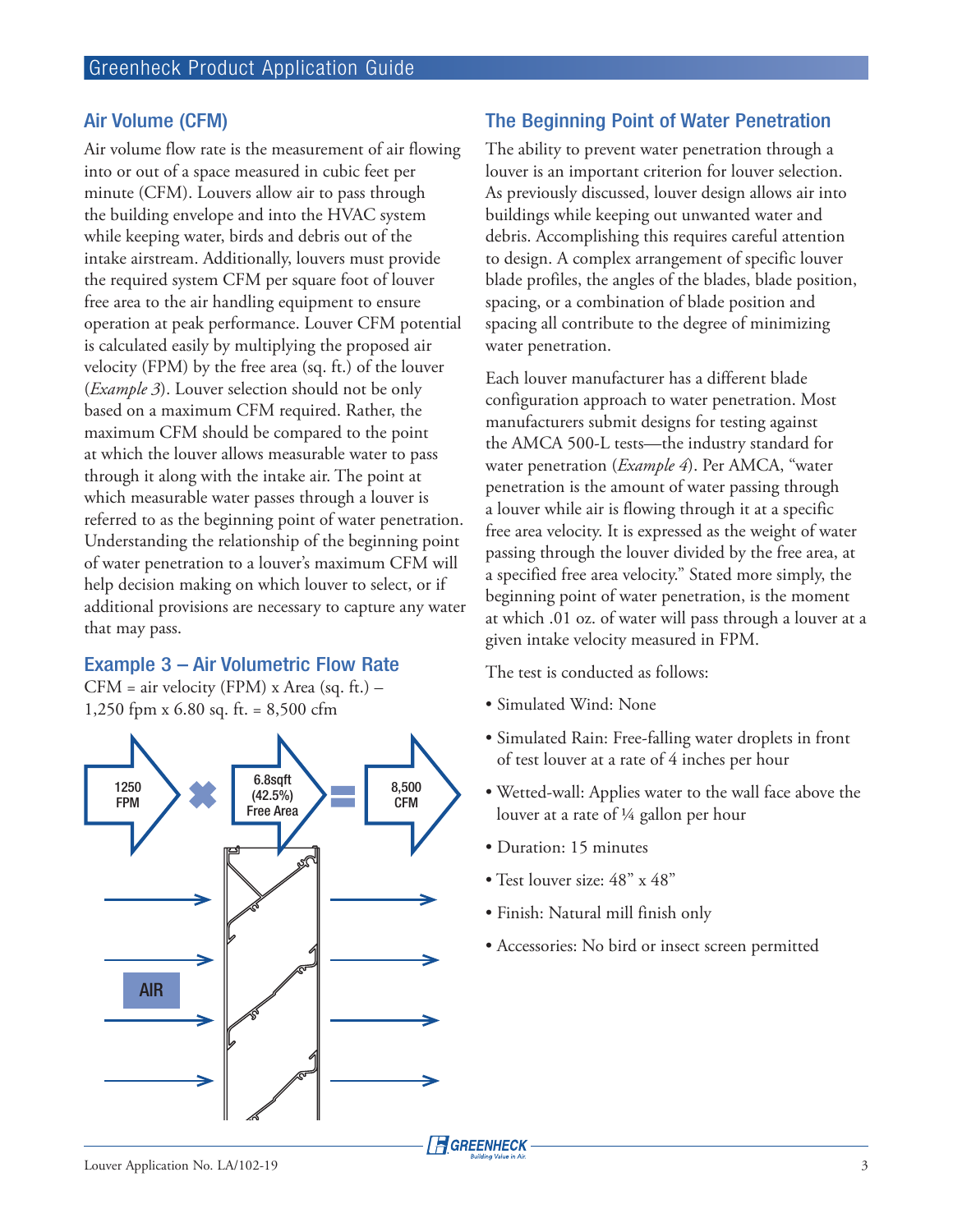# Air Volume (CFM)

Air volume flow rate is the measurement of air flowing into or out of a space measured in cubic feet per minute (CFM). Louvers allow air to pass through the building envelope and into the HVAC system while keeping water, birds and debris out of the intake airstream. Additionally, louvers must provide the required system CFM per square foot of louver free area to the air handling equipment to ensure operation at peak performance. Louver CFM potential is calculated easily by multiplying the proposed air velocity (FPM) by the free area (sq. ft.) of the louver (*Example 3*). Louver selection should not be only based on a maximum CFM required. Rather, the maximum CFM should be compared to the point at which the louver allows measurable water to pass through it along with the intake air. The point at which measurable water passes through a louver is referred to as the beginning point of water penetration. Understanding the relationship of the beginning point of water penetration to a louver's maximum CFM will help decision making on which louver to select, or if additional provisions are necessary to capture any water that may pass.

#### Example 3 – Air Volumetric Flow Rate

CFM = air velocity (FPM) x Area (sq. ft.) – 1,250 fpm x 6.80 sq. ft. = 8,500 cfm



# The Beginning Point of Water Penetration

The ability to prevent water penetration through a louver is an important criterion for louver selection. As previously discussed, louver design allows air into buildings while keeping out unwanted water and debris. Accomplishing this requires careful attention to design. A complex arrangement of specific louver blade profiles, the angles of the blades, blade position, spacing, or a combination of blade position and spacing all contribute to the degree of minimizing water penetration.

Each louver manufacturer has a different blade configuration approach to water penetration. Most manufacturers submit designs for testing against the AMCA 500-L tests—the industry standard for water penetration (*Example 4*). Per AMCA, "water penetration is the amount of water passing through a louver while air is flowing through it at a specific free area velocity. It is expressed as the weight of water passing through the louver divided by the free area, at a specified free area velocity." Stated more simply, the beginning point of water penetration, is the moment at which .01 oz. of water will pass through a louver at a given intake velocity measured in FPM.

The test is conducted as follows:

- Simulated Wind: None
- Simulated Rain: Free-falling water droplets in front of test louver at a rate of 4 inches per hour
- Wetted-wall: Applies water to the wall face above the louver at a rate of ¼ gallon per hour
- Duration: 15 minutes
- Test louver size: 48" x 48"
- Finish: Natural mill finish only
- Accessories: No bird or insect screen permitted